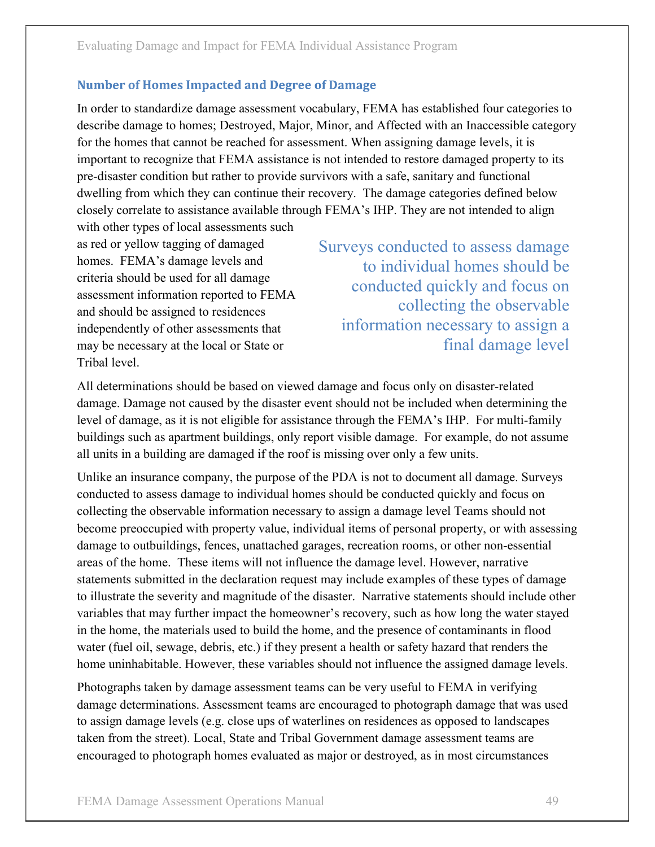In order to standardize damage assessment vocabulary, FEMA has established four categories to Evaluating Damage and Impact for FEMA Individual Assistance Program<br> **Number of Homes Impacted and Degree of Damage**<br> **In order to standardize damage assessment vocabulary, FEMA has established four categories to**<br>
describ for the homes that cannot be reached for assessment. When assigning damage levels, it is Evaluating Damage and Impact for FEMA Individual Assistance Program<br> **Number of Homes Impacted and Degree of Damage**<br>
In order to standardize damage assessment vocabulary, FEMA has established four categories to<br>
describe pre-disaster condition but rather to provide survivors with a safe, sanitary and functional dwelling from which they can continue their recovery. The damage categories defined below closely correlate to assistance available through FEMA's IHP. They are not intended to align with other types of local assessments such Minder of Homes impacted and Degree of Damage<br>
In order to standardize damage assessment vocabulary, FEMA has establis<br>
describe damage to homes; Destroyed, Major, Minor, and Affected with an<br>
for the homes that cannot be describe damage and more caused when the recent who and a method to the momes that caused with a single disaster caused with a single text of the homes that causation but rather to provide survivors with a safe, sanitary a

as red or yellow tagging of damaged homes. FEMA's damage levels and criteria should be used for all damage assessment information reported to FEMA and should be assigned to residences independently of other assessments that may be necessary at the local or State or

Surveys conducted to assess damage to individual homes should be conducted quickly and focus on collecting the observable information necessary to assign a final damage level

All determinations should be based on viewed damage and focus only on disaster-related level of damage, as it is not eligible for assistance through the FEMA's IHP. For multi-family buildings such as apartment buildings, only report visible damage. For example, do not assume all units in a building are damaged if the roof is missing over only a few units.

Unlike an insurance company, the purpose of the PDA is not to document all damage. Surveys conducted to assess damage to individual homes should be conducted quickly and focus on collecting the observable information necessary to assign a damage level Teams should not become preoccupied with property value, individual items of personal property, or with assessing damage to outbuildings, fences, unattached garages, recreation rooms, or other non-essential areas of the home. These items will not influence the damage level. However, narrative statements submitted in the declaration request may include examples of these types of damage to illustrate the severity and magnitude of the disaster. Narrative statements should include other variables that may further impact the homeowner's recovery, such as how long the water stayed in the home, the materials used to build the home, and the presence of contaminants in flood water (fuel oil, sewage, debris, etc.) if they present a health or safety hazard that renders the home uninhabitable. However, these variables should not influence the assigned damage levels.

Photographs taken by damage assessment teams can be very useful to FEMA in verifying damage determinations. Assessment teams are encouraged to photograph damage that was used to assign damage levels (e.g. close ups of waterlines on residences as opposed to landscapes taken from the street). Local, State and Tribal Government damage assessment teams are encouraged to photograph homes evaluated as major or destroyed, as in most circumstances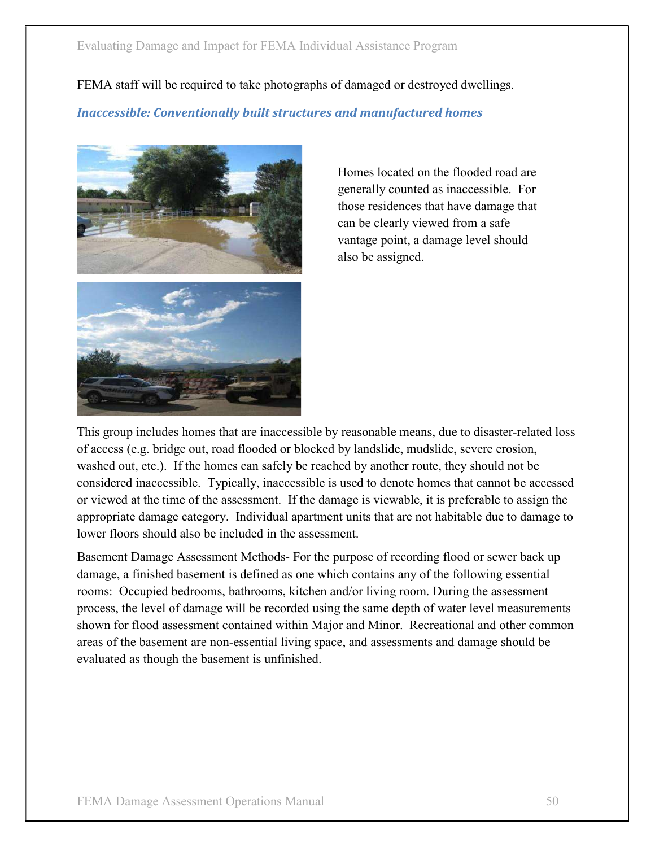FEMA staff will be required to take photographs of damaged or destroyed dwellings.

**Inaccessible: Conventionally built structures and manufactured homes** 



Homes located on the flooded road are generally counted as inaccessible. For those residences that have damage that can be clearly viewed from a safe vantage point, a damage level should also be assigned.

This group includes homes that are inaccessible by reasonable means, due to disaster-related loss of access (e.g. bridge out, road flooded or blocked by landslide, mudslide, severe erosion, washed out, etc.). If the homes can safely be reached by another route, they should not be considered inaccessible. Typically, inaccessible is used to denote homes that cannot be accessed can be clearly viewed room as ance whereas well also be assigned.<br>
also be assigned.<br>
This group includes homes that are inaccessible by reasonable means, due to disaster-related loss<br>
of access (e.g. bridge out, road floo appropriate damage category. Individual apartment units that are not habitable due to damage to lower floors should also be included in the assessment.

Basement Damage Assessment Methods- For the purpose of recording flood or sewer back up damage, a finished basement is defined as one which contains any of the following essential rooms: Occupied bedrooms, bathrooms, kitchen and/or living room. During the assessment process, the level of damage will be recorded using the same depth of water level measurements shown for flood assessment contained within Major and Minor. Recreational and other common areas of the basement are non-essential living space, and assessments and damage should be evaluated as though the basement is unfinished.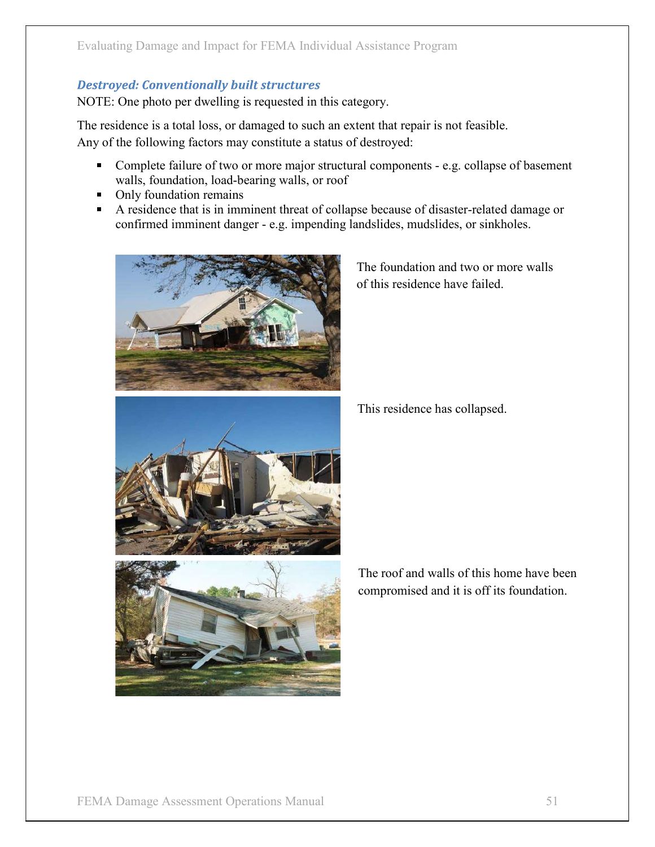## **Destroyed: Conventionally built structures**

NOTE: One photo per dwelling is requested in this category.

The residence is a total loss, or damaged to such an extent that repair is not feasible. Any of the following factors may constitute a status of destroyed:

- $\blacksquare$ Complete failure of two or more major structural components - e.g. collapse of basement walls, foundation, load-bearing walls, or roof
- Only foundation remains
- A residence that is in imminent threat of collapse because of disaster-related damage or confirmed imminent danger - e.g. impending landslides, mudslides, or sinkholes.



Assistance Program<br>
egory.<br>
tent that repair is not feasible.<br>
destroyed:<br>
al components - e.g. collapse of basement<br>
se because of disaster-related damage or<br>
mdslides, mudslides, or sinkholes.<br>
The foundation and two or of this residence have failed.

This residence has collapsed.



The roof and walls of this home have been compromised and it is off its foundation.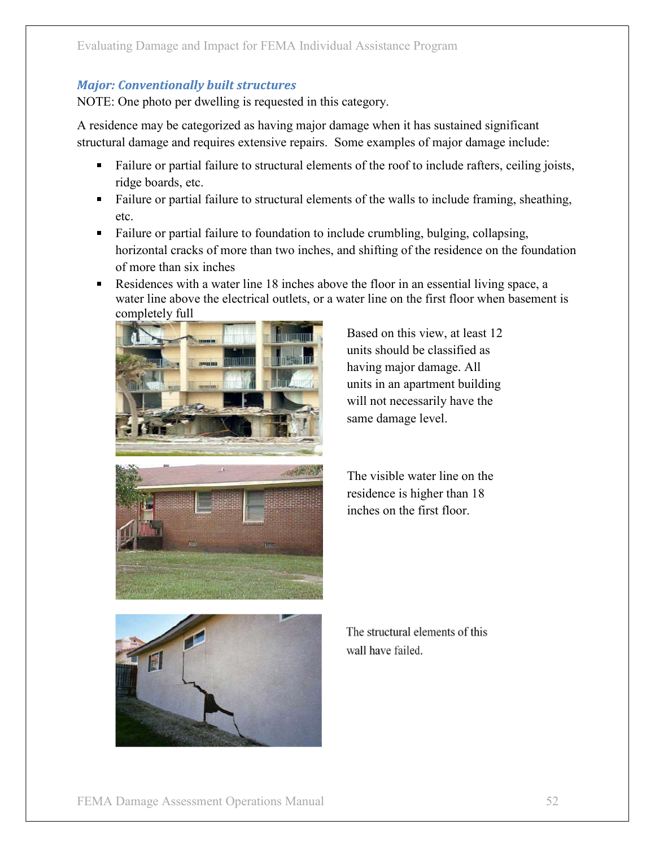NOTE: One photo per dwelling is requested in this category.

A residence may be categorized as having major damage when it has sustained significant structural damage and requires extensive repairs. Some examples of major damage include:

- Failure or partial failure to formulation to include ratios of the real failure or partial failure or partial failure to structural elements of the roof to include rafters, ceiling joists, ridge boards, cet.<br>Failure or par  $\blacksquare$ ridge boards, etc.
- Failure or partial failure to structural elements of the walls to include framing, sheathing, etc.
- Failure or partial failure to foundation to include crumbling, bulging, collapsing, horizontal cracks of more than two inches, and shifting of the residence on the foundation of more than six inches ing Damage and Impact for FEMA Individual Assistance Program<br> **Conventionally built structures**<br> **One photo per dwelling is requested in this category.**<br> **ence may be categorized as having major damage when it has sustaine**
- $\blacksquare$ Residences with a water line 18 inches above the floor in an essential living space, a completely full





Based on this view, at least 12 units should be classified as having major damage. All units in an apartment building will not necessarily have the same damage level.



residence is higher than 18 inches on the first floor.



The structural elements of this wall have failed.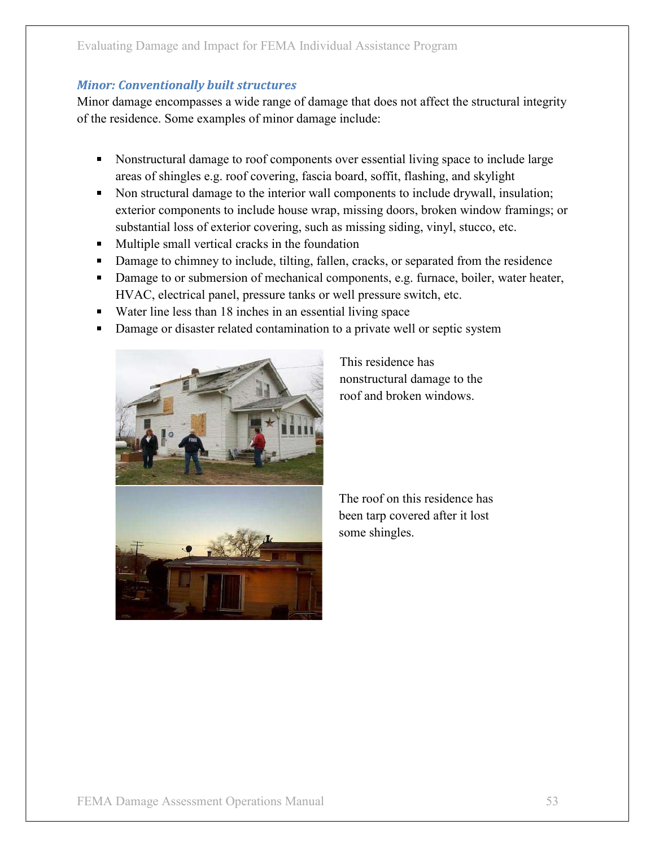Minor damage encompasses a wide range of damage that does not affect the structural integrity of the residence. Some examples of minor damage include:

- Nonstructural damage to roof components over essential living space to include large
- ing Damage and Impact for FEMA Individual Assistance Program<br> **Conventionally built structures**<br> **damage encompasses a wide range of damage that does not affect the structural integrity**<br> **esidence.** Some examples of minor Implement of FEMA Individual Assistance Program<br>
Conventionally built structures<br>
alamage encompasses a wide range of damage that does not affect the structural integrity<br>
sidence. Some examples of minor damage include:<br>
N exterior components to include house wrap, missing doors, broken window framings; or substantial loss of exterior covering, such as missing siding, vinyl, stucco, etc. ing Damage and Impact for FEMA Individual Assistance Program<br> **Conventionally built structures**<br> **Slamage encompasses a wide range of damage that does not affect the structural integrity<br>
sidence. Some examples of minor da**
- **Multiple small vertical cracks in the foundation**
- Damage to chimney to include, tilting, fallen, cracks, or separated from the residence
- Damage to or submersion of mechanical components, e.g. furnace, boiler, water heater,
- Water line less than 18 inches in an essential living space
- Damage or disaster related contamination to a private well or septic system



This residence has nonstructural damage to the roof and broken windows.

is missing siding, vinyl, stucco, etc.<br>
tion<br>
n, cracks, or separated from the residence<br>
mponents, e.g. furnace, boiler, water heater,<br>
cell pressure switch, etc.<br>
l living space<br>
o a private well or septic system<br>
This r been tarp covered after it lost some shingles.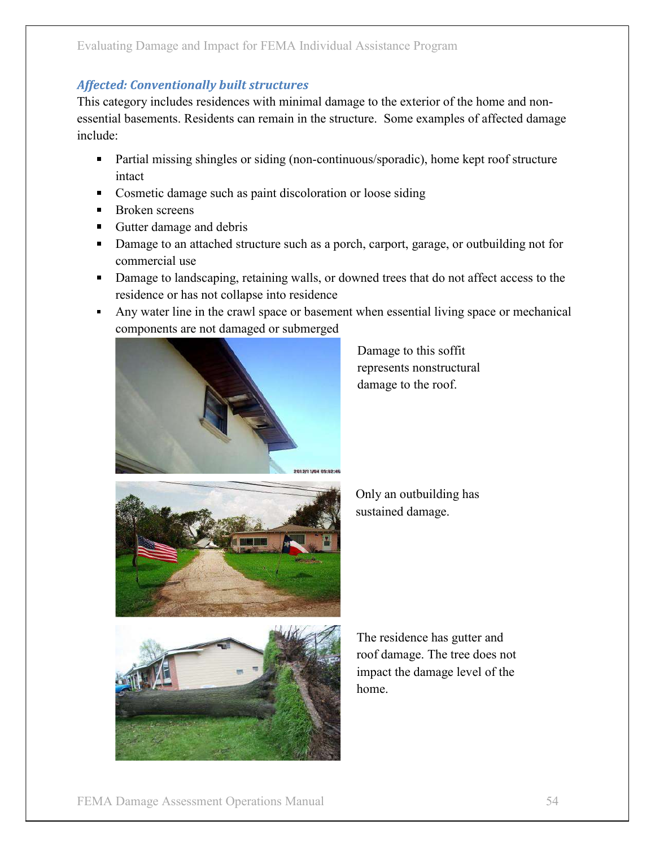This category includes residences with minimal damage to the exterior of the home and nonessential basements. Residents can remain in the structure. Some examples of affected damage include: may Damage and Impact for FEMA Individual Assistance Program<br>
A. Conventionally built structures<br>
tegory includes residences with minimal damage to the exterior of the home and non-<br>
11 basements. Residents can remain in t

- Partial missing shingles or siding (non-continuous/sporadic), home kept roof structure intact
- **Cosmetic damage such as paint discoloration or loose siding**
- Broken screens
- Gutter damage and debris
- Damage to an attached structure such as a porch, carport, garage, or outbuilding not for commercial use
- Damage to landscaping, retaining walls, or downed trees that do not affect access to the residence or has not collapse into residence
- components are not damaged or submerged



Damage to this soffit represents nonstructural damage to the roof.



Only an outbuilding has sustained damage.



The residence has gutter and roof damage. The tree does not impact the damage level of the home.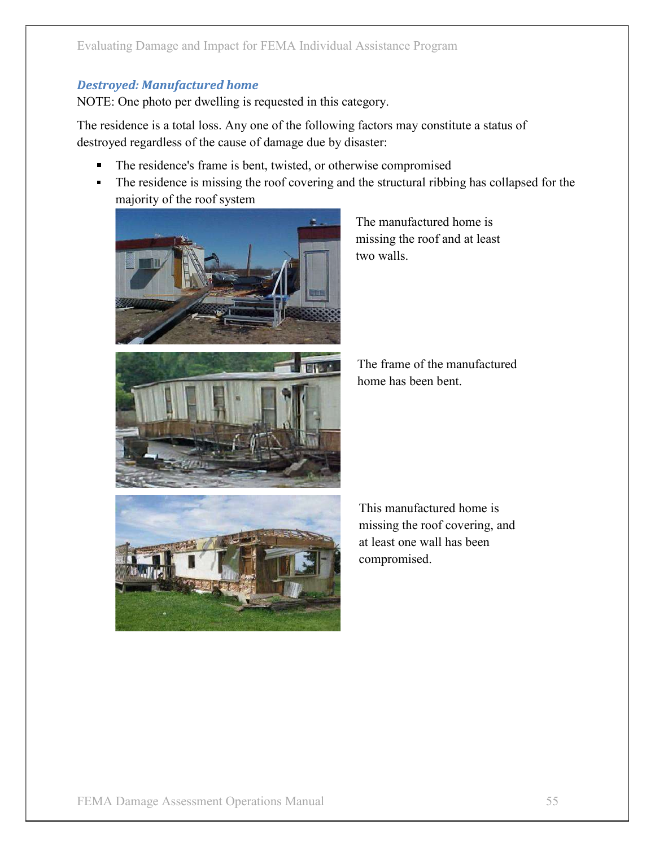NOTE: One photo per dwelling is requested in this category.

The residence is a total loss. Any one of the following factors may constitute a status of Evaluating Damage and Impact for FEMA Individual Assistance Program<br> **Destroyed: Manufactured home**<br>
NOTE: One photo per dwelling is requested in this category.<br>
The residence is a total loss. Any one of the following fact

- The residence's frame is bent, twisted, or otherwise compromised
- The residence is missing the roof covering and the structural ribbing has collapsed for the majority of the roof system Assistance Program<br>
egory.<br>
factors may constitute a status of<br>
saster:<br>
wise compromised<br>
the structural ribbing has collapsed for the<br>
The manufactured home is<br>
missing the roof and at least<br>
two walls.





missing the roof and at least two walls.

The frame of the manufactured home has been bent.



missing the roof and at least<br>
wo walls.<br>
The frame of the manufactured<br>
home has been bent.<br>
This manufactured home is<br>
missing the roof covering, and<br>
at least one wall has been<br>
compromised. missing the roof covering, and at least one wall has been compromised.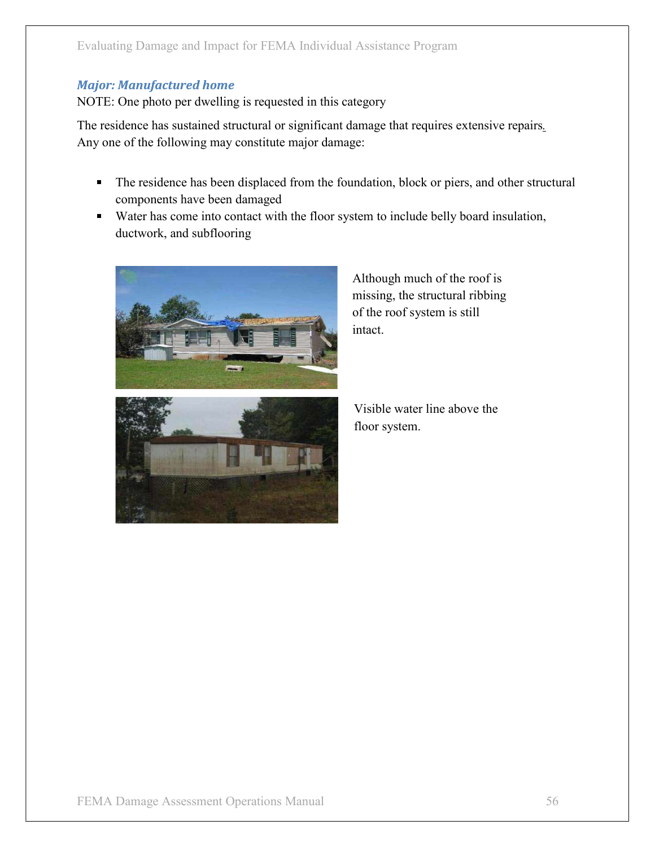## **Major: Manufactured home**

NOTE: One photo per dwelling is requested in this category

The residence has sustained structural or significant damage that requires extensive repairs. Any one of the following may constitute major damage:

- The residence has been displaced from the foundation, block or piers, and other structural components have been damaged
- Water has come into contact with the floor system to include belly board insulation, ductwork, and subflooring



Although much of the roof is missing, the structural ribbing of the roof system is still intact.



Visible water line above the floor system.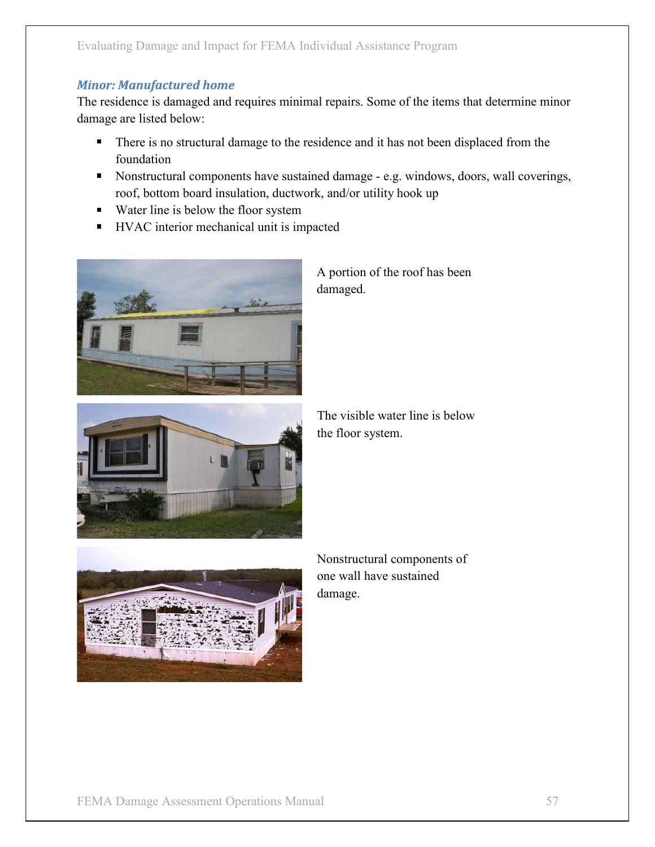The residence is damaged and requires minimal repairs. Some of the items that determine minor<br>The residence is damaged and requires minimal repairs. Some of the items that determine minor<br>damage are listed below:<br>There is damage are listed below:

- There is no structural damage to the residence and it has not been displaced from the foundation
- Nonstructural components have sustained damage e.g. windows, doors, wall coverings, roof, bottom board insulation, ductwork, and/or utility hook up
- Water line is below the floor system
- **HVAC** interior mechanical unit is impacted



A portion of the roof has been damaged.



The visible water line is below the floor system.



Nonstructural components of one wall have sustained damage.